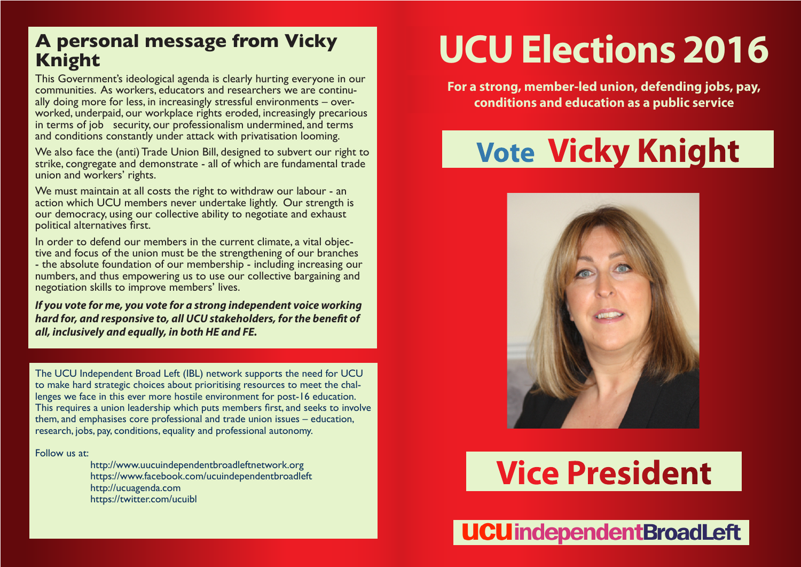### **A personal message from Vicky Knight**

This Government's ideological agenda is clearly hurting everyone in our communities. As workers, educators and researchers we are continually doing more for less, in increasingly stressful environments – over-<br>worked, underpaid, our workplace rights eroded, increasingly precarious in terms of job security, our professionalism undermined, and terms and conditions constantly under attack with privatisation looming.

We also face the (anti) Trade Union Bill, designed to subvert our right to strike, congregate and demonstrate - all of which are fundamental trade union and workers' rights.

We must maintain at all costs the right to withdraw our labour - an action which UCU members never undertake lightly. Our strength is our democracy, using our collective ability to negotiate and exhaust political alternatives first.

In order to defend our members in the current climate, a vital objec- tive and focus of the union must be the strengthening of our branches - the absolute foundation of our membership - including increasing our numbers, and thus empowering us to use our collective bargaining and negotiation skills to improve members' lives.

*If you vote for me, you vote for a strong independent voice working hard for, and responsive to, all UCU stakeholders, for the benefit of all, inclusively and equally, in both HE and FE.*

The UCU Independent Broad Left (IBL) network supports the need for UCU to make hard strategic choices about prioritising resources to meet the challenges we face in this ever more hostile environment for post-16 education. This requires a union leadership which puts members first, and seeks to involve them, and emphasises core professional and trade union issues – education, research, jobs, pay, conditions, equality and professional autonomy.

### Follow us at:

 http://www.uucuindependentbroadleftnetwork.org https://www.facebook.com/ucuindependentbroadleft http://ucuagenda.com https://twitter.com/ucuibl

# **UCU Elections 2016**

**For a strong, member-led union, defending jobs, pay, conditions and education as a public service**

# **Vote Vicky Knight**



## **Vice President**

**UCU** independent Broad Left